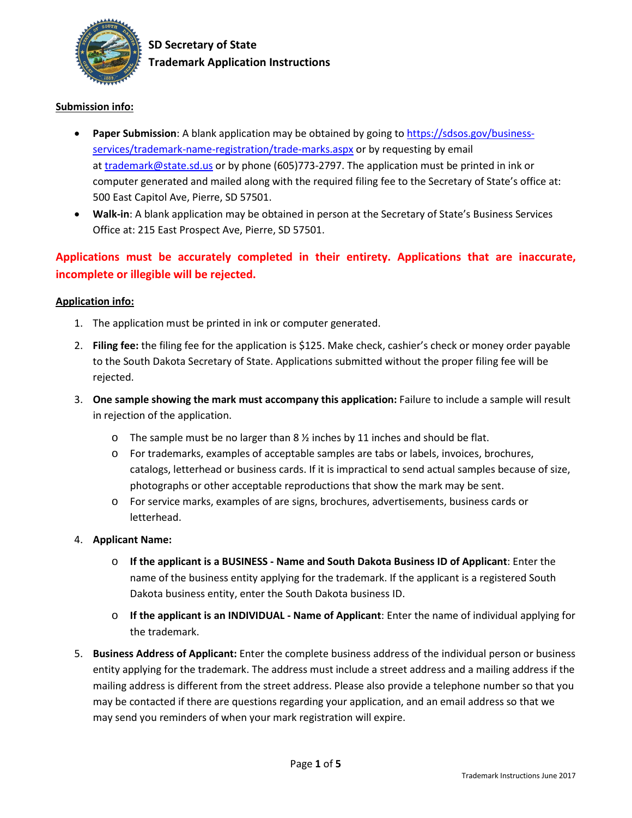

## **Submission info:**

- **Paper Submission**: A blank application may be obtained by going to [https://sdsos.gov/business](https://sdsos.gov/business-services/trademark-name-registration/trade-marks.aspx)[services/trademark-name-registration/trade-marks.aspx](https://sdsos.gov/business-services/trademark-name-registration/trade-marks.aspx) or by requesting by email at [trademark@state.sd.us](mailto:trademark@state.sd.us) or by phone (605)773-2797. The application must be printed in ink or computer generated and mailed along with the required filing fee to the Secretary of State's office at: 500 East Capitol Ave, Pierre, SD 57501.
- **Walk-in**: A blank application may be obtained in person at the Secretary of State's Business Services Office at: 215 East Prospect Ave, Pierre, SD 57501.

**Applications must be accurately completed in their entirety. Applications that are inaccurate, incomplete or illegible will be rejected.**

## **Application info:**

- 1. The application must be printed in ink or computer generated.
- 2. **Filing fee:** the filing fee for the application is \$125. Make check, cashier's check or money order payable to the South Dakota Secretary of State. Applications submitted without the proper filing fee will be rejected.
- 3. **One sample showing the mark must accompany this application:** Failure to include a sample will result in rejection of the application.
	- $\circ$  The sample must be no larger than 8  $\frac{1}{2}$  inches by 11 inches and should be flat.
	- o For trademarks, examples of acceptable samples are tabs or labels, invoices, brochures, catalogs, letterhead or business cards. If it is impractical to send actual samples because of size, photographs or other acceptable reproductions that show the mark may be sent.
	- o For service marks, examples of are signs, brochures, advertisements, business cards or letterhead.
- 4. **Applicant Name:** 
	- o **If the applicant is a BUSINESS - Name and South Dakota Business ID of Applicant**: Enter the name of the business entity applying for the trademark. If the applicant is a registered South Dakota business entity, enter the South Dakota business ID.
	- o **If the applicant is an INDIVIDUAL - Name of Applicant**: Enter the name of individual applying for the trademark.
- 5. **Business Address of Applicant:** Enter the complete business address of the individual person or business entity applying for the trademark. The address must include a street address and a mailing address if the mailing address is different from the street address. Please also provide a telephone number so that you may be contacted if there are questions regarding your application, and an email address so that we may send you reminders of when your mark registration will expire.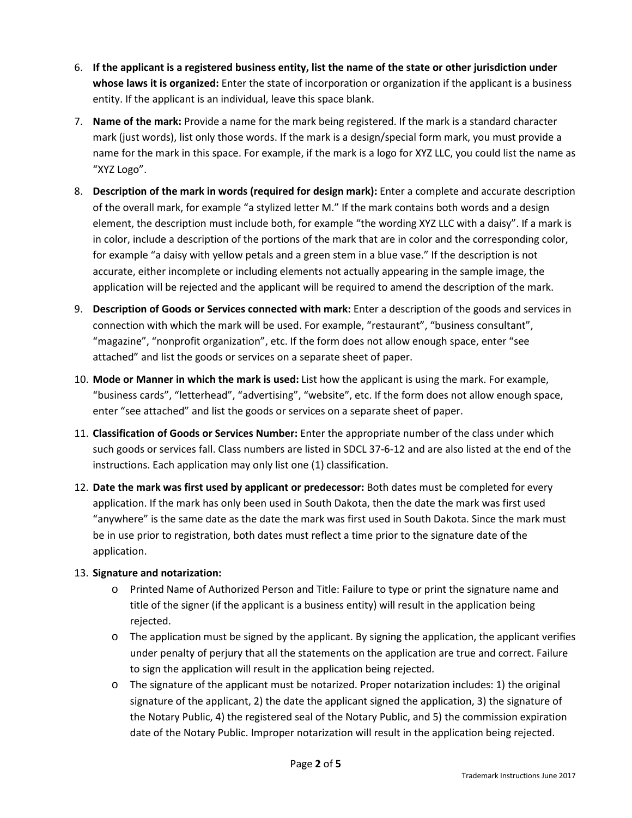- 6. **If the applicant is a registered business entity, list the name of the state or other jurisdiction under whose laws it is organized:** Enter the state of incorporation or organization if the applicant is a business entity. If the applicant is an individual, leave this space blank.
- 7. **Name of the mark:** Provide a name for the mark being registered. If the mark is a standard character mark (just words), list only those words. If the mark is a design/special form mark, you must provide a name for the mark in this space. For example, if the mark is a logo for XYZ LLC, you could list the name as "XYZ Logo".
- 8. **Description of the mark in words (required for design mark):** Enter a complete and accurate description of the overall mark, for example "a stylized letter M." If the mark contains both words and a design element, the description must include both, for example "the wording XYZ LLC with a daisy". If a mark is in color, include a description of the portions of the mark that are in color and the corresponding color, for example "a daisy with yellow petals and a green stem in a blue vase." If the description is not accurate, either incomplete or including elements not actually appearing in the sample image, the application will be rejected and the applicant will be required to amend the description of the mark.
- 9. **Description of Goods or Services connected with mark:** Enter a description of the goods and services in connection with which the mark will be used. For example, "restaurant", "business consultant", "magazine", "nonprofit organization", etc. If the form does not allow enough space, enter "see attached" and list the goods or services on a separate sheet of paper.
- 10. **Mode or Manner in which the mark is used:** List how the applicant is using the mark. For example, "business cards", "letterhead", "advertising", "website", etc. If the form does not allow enough space, enter "see attached" and list the goods or services on a separate sheet of paper.
- 11. **Classification of Goods or Services Number:** Enter the appropriate number of the class under which such goods or services fall. Class numbers are listed in SDCL 37-6-12 and are also listed at the end of the instructions. Each application may only list one (1) classification.
- 12. **Date the mark was first used by applicant or predecessor:** Both dates must be completed for every application. If the mark has only been used in South Dakota, then the date the mark was first used "anywhere" is the same date as the date the mark was first used in South Dakota. Since the mark must be in use prior to registration, both dates must reflect a time prior to the signature date of the application.

## 13. **Signature and notarization:**

- o Printed Name of Authorized Person and Title: Failure to type or print the signature name and title of the signer (if the applicant is a business entity) will result in the application being rejected.
- $\circ$  The application must be signed by the applicant. By signing the application, the applicant verifies under penalty of perjury that all the statements on the application are true and correct. Failure to sign the application will result in the application being rejected.
- o The signature of the applicant must be notarized. Proper notarization includes: 1) the original signature of the applicant, 2) the date the applicant signed the application, 3) the signature of the Notary Public, 4) the registered seal of the Notary Public, and 5) the commission expiration date of the Notary Public. Improper notarization will result in the application being rejected.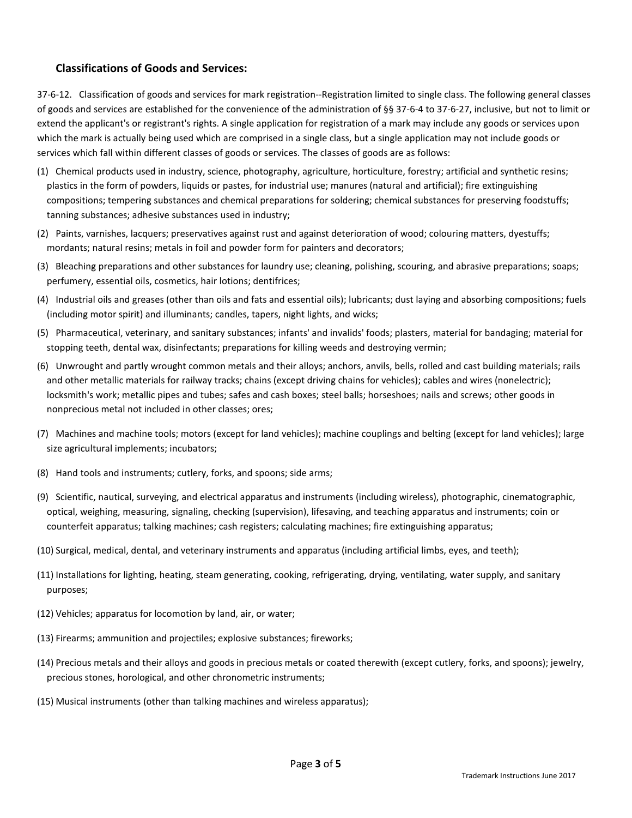## **Classifications of Goods and Services:**

37-6-12. Classification of goods and services for mark registration--Registration limited to single class. The following general classes of goods and services are established for the convenience of the administration of §§ 37-6-4 to 37-6-27, inclusive, but not to limit or extend the applicant's or registrant's rights. A single application for registration of a mark may include any goods or services upon which the mark is actually being used which are comprised in a single class, but a single application may not include goods or services which fall within different classes of goods or services. The classes of goods are as follows:

- (1) Chemical products used in industry, science, photography, agriculture, horticulture, forestry; artificial and synthetic resins; plastics in the form of powders, liquids or pastes, for industrial use; manures (natural and artificial); fire extinguishing compositions; tempering substances and chemical preparations for soldering; chemical substances for preserving foodstuffs; tanning substances; adhesive substances used in industry;
- (2) Paints, varnishes, lacquers; preservatives against rust and against deterioration of wood; colouring matters, dyestuffs; mordants; natural resins; metals in foil and powder form for painters and decorators;
- (3) Bleaching preparations and other substances for laundry use; cleaning, polishing, scouring, and abrasive preparations; soaps; perfumery, essential oils, cosmetics, hair lotions; dentifrices;
- (4) Industrial oils and greases (other than oils and fats and essential oils); lubricants; dust laying and absorbing compositions; fuels (including motor spirit) and illuminants; candles, tapers, night lights, and wicks;
- (5) Pharmaceutical, veterinary, and sanitary substances; infants' and invalids' foods; plasters, material for bandaging; material for stopping teeth, dental wax, disinfectants; preparations for killing weeds and destroying vermin;
- (6) Unwrought and partly wrought common metals and their alloys; anchors, anvils, bells, rolled and cast building materials; rails and other metallic materials for railway tracks; chains (except driving chains for vehicles); cables and wires (nonelectric); locksmith's work; metallic pipes and tubes; safes and cash boxes; steel balls; horseshoes; nails and screws; other goods in nonprecious metal not included in other classes; ores;
- (7) Machines and machine tools; motors (except for land vehicles); machine couplings and belting (except for land vehicles); large size agricultural implements; incubators;
- (8) Hand tools and instruments; cutlery, forks, and spoons; side arms;
- (9) Scientific, nautical, surveying, and electrical apparatus and instruments (including wireless), photographic, cinematographic, optical, weighing, measuring, signaling, checking (supervision), lifesaving, and teaching apparatus and instruments; coin or counterfeit apparatus; talking machines; cash registers; calculating machines; fire extinguishing apparatus;
- (10) Surgical, medical, dental, and veterinary instruments and apparatus (including artificial limbs, eyes, and teeth);
- (11) Installations for lighting, heating, steam generating, cooking, refrigerating, drying, ventilating, water supply, and sanitary purposes;
- (12) Vehicles; apparatus for locomotion by land, air, or water;
- (13) Firearms; ammunition and projectiles; explosive substances; fireworks;
- (14) Precious metals and their alloys and goods in precious metals or coated therewith (except cutlery, forks, and spoons); jewelry, precious stones, horological, and other chronometric instruments;
- (15) Musical instruments (other than talking machines and wireless apparatus);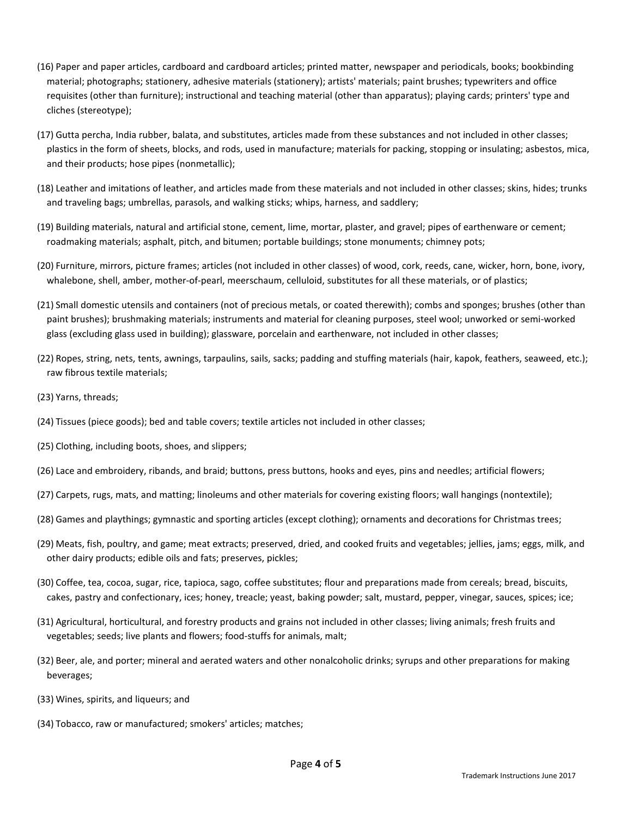- (16) Paper and paper articles, cardboard and cardboard articles; printed matter, newspaper and periodicals, books; bookbinding material; photographs; stationery, adhesive materials (stationery); artists' materials; paint brushes; typewriters and office requisites (other than furniture); instructional and teaching material (other than apparatus); playing cards; printers' type and cliches (stereotype);
- (17) Gutta percha, India rubber, balata, and substitutes, articles made from these substances and not included in other classes; plastics in the form of sheets, blocks, and rods, used in manufacture; materials for packing, stopping or insulating; asbestos, mica, and their products; hose pipes (nonmetallic);
- (18) Leather and imitations of leather, and articles made from these materials and not included in other classes; skins, hides; trunks and traveling bags; umbrellas, parasols, and walking sticks; whips, harness, and saddlery;
- (19) Building materials, natural and artificial stone, cement, lime, mortar, plaster, and gravel; pipes of earthenware or cement; roadmaking materials; asphalt, pitch, and bitumen; portable buildings; stone monuments; chimney pots;
- (20) Furniture, mirrors, picture frames; articles (not included in other classes) of wood, cork, reeds, cane, wicker, horn, bone, ivory, whalebone, shell, amber, mother-of-pearl, meerschaum, celluloid, substitutes for all these materials, or of plastics;
- (21) Small domestic utensils and containers (not of precious metals, or coated therewith); combs and sponges; brushes (other than paint brushes); brushmaking materials; instruments and material for cleaning purposes, steel wool; unworked or semi-worked glass (excluding glass used in building); glassware, porcelain and earthenware, not included in other classes;
- (22) Ropes, string, nets, tents, awnings, tarpaulins, sails, sacks; padding and stuffing materials (hair, kapok, feathers, seaweed, etc.); raw fibrous textile materials;
- (23) Yarns, threads;
- (24) Tissues (piece goods); bed and table covers; textile articles not included in other classes;
- (25) Clothing, including boots, shoes, and slippers;
- (26) Lace and embroidery, ribands, and braid; buttons, press buttons, hooks and eyes, pins and needles; artificial flowers;
- (27) Carpets, rugs, mats, and matting; linoleums and other materials for covering existing floors; wall hangings (nontextile);
- (28) Games and playthings; gymnastic and sporting articles (except clothing); ornaments and decorations for Christmas trees;
- (29) Meats, fish, poultry, and game; meat extracts; preserved, dried, and cooked fruits and vegetables; jellies, jams; eggs, milk, and other dairy products; edible oils and fats; preserves, pickles;
- (30) Coffee, tea, cocoa, sugar, rice, tapioca, sago, coffee substitutes; flour and preparations made from cereals; bread, biscuits, cakes, pastry and confectionary, ices; honey, treacle; yeast, baking powder; salt, mustard, pepper, vinegar, sauces, spices; ice;
- (31) Agricultural, horticultural, and forestry products and grains not included in other classes; living animals; fresh fruits and vegetables; seeds; live plants and flowers; food-stuffs for animals, malt;
- (32) Beer, ale, and porter; mineral and aerated waters and other nonalcoholic drinks; syrups and other preparations for making beverages;
- (33) Wines, spirits, and liqueurs; and
- (34) Tobacco, raw or manufactured; smokers' articles; matches;